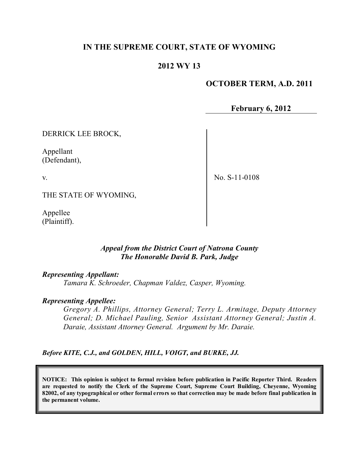# **IN THE SUPREME COURT, STATE OF WYOMING**

# **2012 WY 13**

# **OCTOBER TERM, A.D. 2011**

**February 6, 2012**

DERRICK LEE BROCK,

Appellant (Defendant),

v.

No. S-11-0108

THE STATE OF WYOMING,

Appellee (Plaintiff).

#### *Appeal from the District Court of Natrona County The Honorable David B. Park, Judge*

#### *Representing Appellant:*

*Tamara K. Schroeder, Chapman Valdez, Casper, Wyoming.*

#### *Representing Appellee:*

*Gregory A. Phillips, Attorney General; Terry L. Armitage, Deputy Attorney General; D. Michael Pauling, Senior Assistant Attorney General; Justin A. Daraie, Assistant Attorney General. Argument by Mr. Daraie.*

*Before KITE, C.J., and GOLDEN, HILL, VOIGT, and BURKE, JJ.*

**NOTICE: This opinion is subject to formal revision before publication in Pacific Reporter Third. Readers are requested to notify the Clerk of the Supreme Court, Supreme Court Building, Cheyenne, Wyoming** 82002, of any typographical or other formal errors so that correction may be made before final publication in **the permanent volume.**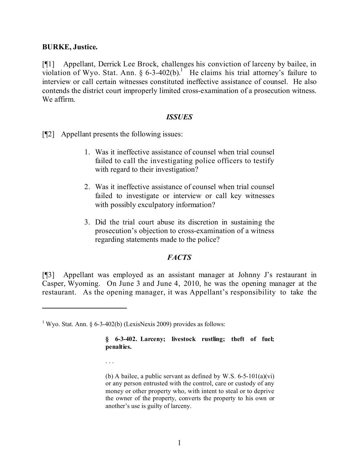#### **BURKE, Justice.**

[¶1] Appellant, Derrick Lee Brock, challenges his conviction of larceny by bailee, in violation of Wyo. Stat. Ann.  $\S 6-3-402(b)$ .<sup>1</sup> He claims his trial attorney's failure to interview or call certain witnesses constituted ineffective assistance of counsel. He also contends the district court improperly limited cross-examination of a prosecution witness. We affirm.

#### *ISSUES*

[¶2] Appellant presents the following issues:

- 1. Was it ineffective assistance of counsel when trial counsel failed to call the investigating police officers to testify with regard to their investigation?
- 2. Was it ineffective assistance of counsel when trial counsel failed to investigate or interview or call key witnesses with possibly exculpatory information?
- 3. Did the trial court abuse its discretion in sustaining the prosecution's objection to cross-examination of a witness regarding statements made to the police?

# *FACTS*

[¶3] Appellant was employed as an assistant manager at Johnny J's restaurant in Casper, Wyoming. On June 3 and June 4, 2010, he was the opening manager at the restaurant. As the opening manager, it was Appellant's responsibility to take the

. . .

<sup>&</sup>lt;sup>1</sup> Wyo. Stat. Ann. § 6-3-402(b) (LexisNexis 2009) provides as follows:

**<sup>§ 6-3-402.</sup> Larceny; livestock rustling; theft of fuel; penalties.**

<sup>(</sup>b) A bailee, a public servant as defined by W.S.  $6-5-101(a)(vi)$ or any person entrusted with the control, care or custody of any money or other property who, with intent to steal or to deprive the owner of the property, converts the property to his own or another's use is guilty of larceny.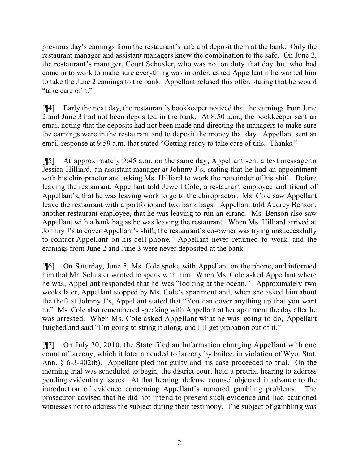previous day's earnings from the restaurant's safe and deposit them at the bank. Only the restaurant manager and assistant managers knew the combination to the safe. On June 3, the restaurant's manager, Court Schusler, who was not on duty that day but who had come in to work to make sure everything was in order, asked Appellant if he wanted him to take the June 2 earnings to the bank. Appellant refused this offer, stating that he would "take care of it."

[¶4] Early the next day, the restaurant's bookkeeper noticed that the earnings from June 2 and June 3 had not been deposited in the bank. At 8:50 a.m., the bookkeeper sent an email noting that the deposits had not been made and directing the managers to make sure the earnings were in the restaurant and to deposit the money that day. Appellant sent an email response at 9:59 a.m. that stated "Getting ready to take care of this. Thanks."

[¶5] At approximately 9:45 a.m. on the same day, Appellant sent a text message to Jessica Hilliard, an assistant manager at Johnny J's, stating that he had an appointment with his chiropractor and asking Ms. Hilliard to work the remainder of his shift. Before leaving the restaurant, Appellant told Jewell Cole, a restaurant employee and friend of Appellant's, that he was leaving work to go to the chiropractor. Ms. Cole saw Appellant leave the restaurant with a portfolio and two bank bags. Appellant told Audrey Benson, another restaurant employee, that he was leaving to run an errand. Ms. Benson also saw Appellant with a bank bag as he was leaving the restaurant. When Ms. Hilliard arrived at Johnny J's to cover Appellant's shift, the restaurant's co-owner was trying unsuccessfully to contact Appellant on his cell phone. Appellant never returned to work, and the earnings from June 2 and June 3 were never deposited at the bank.

[¶6] On Saturday, June 5, Ms. Cole spoke with Appellant on the phone, and informed him that Mr. Schusler wanted to speak with him. When Ms. Cole asked Appellant where he was, Appellant responded that he was "looking at the ocean." Approximately two weeks later, Appellant stopped by Ms. Cole's apartment and, when she asked him about the theft at Johnny J's, Appellant stated that "You can cover anything up that you want to." Ms. Cole also remembered speaking with Appellant at her apartment the day after he was arrested. When Ms. Cole asked Appellant what he was going to do, Appellant laughed and said "I'm going to string it along, and I'll get probation out of it."

[¶7] On July 20, 2010, the State filed an Information charging Appellant with one count of larceny, which it later amended to larceny by bailee, in violation of Wyo. Stat. Ann. § 6-3-402(b). Appellant pled not guilty and his case proceeded to trial. On the morning trial was scheduled to begin, the district court held a pretrial hearing to address pending evidentiary issues. At that hearing, defense counsel objected in advance to the introduction of evidence concerning Appellant's rumored gambling problems. The prosecutor advised that he did not intend to present such evidence and had cautioned witnesses not to address the subject during their testimony. The subject of gambling was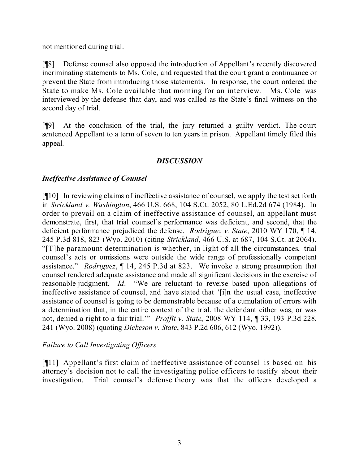not mentioned during trial.

[¶8] Defense counsel also opposed the introduction of Appellant's recently discovered incriminating statements to Ms. Cole, and requested that the court grant a continuance or prevent the State from introducing those statements. In response, the court ordered the State to make Ms. Cole available that morning for an interview. Ms. Cole was interviewed by the defense that day, and was called as the State's final witness on the second day of trial.

[¶9] At the conclusion of the trial, the jury returned a guilty verdict. The court sentenced Appellant to a term of seven to ten years in prison. Appellant timely filed this appeal.

# *DISCUSSION*

# *Ineffective Assistance of Counsel*

[¶10] In reviewing claims of ineffective assistance of counsel, we apply the test set forth in *Strickland v. Washington*, 466 U.S. 668, 104 S.Ct. 2052, 80 L.Ed.2d 674 (1984). In order to prevail on a claim of ineffective assistance of counsel, an appellant must demonstrate, first, that trial counsel's performance was deficient, and second, that the deficient performance prejudiced the defense. *Rodriguez v. State*, 2010 WY 170, ¶ 14, 245 P.3d 818, 823 (Wyo. 2010) (citing *Strickland*, 466 U.S. at 687, 104 S.Ct. at 2064). "[T]he paramount determination is whether, in light of all the circumstances, trial counsel's acts or omissions were outside the wide range of professionally competent assistance." *Rodriguez*, ¶ 14, 245 P.3d at 823. We invoke a strong presumption that counsel rendered adequate assistance and made all significant decisions in the exercise of reasonable judgment. *Id*. "We are reluctant to reverse based upon allegations of ineffective assistance of counsel, and have stated that '[i]n the usual case, ineffective assistance of counsel is going to be demonstrable because of a cumulation of errors with a determination that, in the entire context of the trial, the defendant either was, or was not, denied a right to a fair trial.'" *Proffit v. State*, 2008 WY 114, ¶ 33, 193 P.3d 228, 241 (Wyo. 2008) (quoting *Dickeson v. State*, 843 P.2d 606, 612 (Wyo. 1992)).

# *Failure to Call Investigating Officers*

[¶11] Appellant's first claim of ineffective assistance of counsel is based on his attorney's decision not to call the investigating police officers to testify about their investigation. Trial counsel's defense theory was that the officers developed a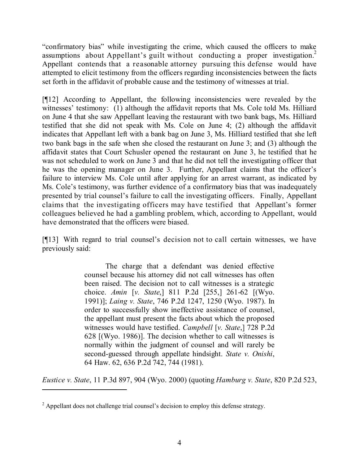"confirmatory bias" while investigating the crime, which caused the officers to make assumptions about Appellant's guilt without conducting a proper investigation.<sup>2</sup> Appellant contends that a reasonable attorney pursuing this defense would have attempted to elicit testimony from the officers regarding inconsistencies between the facts set forth in the affidavit of probable cause and the testimony of witnesses at trial.

[¶12] According to Appellant, the following inconsistencies were revealed by the witnesses' testimony: (1) although the affidavit reports that Ms. Cole told Ms. Hilliard on June 4 that she saw Appellant leaving the restaurant with two bank bags, Ms. Hilliard testified that she did not speak with Ms. Cole on June 4; (2) although the affidavit indicates that Appellant left with a bank bag on June 3, Ms. Hilliard testified that she left two bank bags in the safe when she closed the restaurant on June 3; and (3) although the affidavit states that Court Schusler opened the restaurant on June 3, he testified that he was not scheduled to work on June 3 and that he did not tell the investigating officer that he was the opening manager on June 3. Further, Appellant claims that the officer's failure to interview Ms. Cole until after applying for an arrest warrant, as indicated by Ms. Cole's testimony, was further evidence of a confirmatory bias that was inadequately presented by trial counsel's failure to call the investigating officers. Finally, Appellant claims that the investigating officers may have testified that Appellant's former colleagues believed he had a gambling problem, which, according to Appellant, would have demonstrated that the officers were biased.

[¶13] With regard to trial counsel's decision not to call certain witnesses, we have previously said:

> The charge that a defendant was denied effective counsel because his attorney did not call witnesses has often been raised. The decision not to call witnesses is a strategic choice. *Amin* [*v. State*,] 811 P.2d [255,] 261-62 [(Wyo. 1991)]; *Laing v. State*, 746 P.2d 1247, 1250 (Wyo. 1987). In order to successfully show ineffective assistance of counsel, the appellant must present the facts about which the proposed witnesses would have testified. *Campbell* [*v. State*,] 728 P.2d 628 [(Wyo. 1986)]. The decision whether to call witnesses is normally within the judgment of counsel and will rarely be second-guessed through appellate hindsight. *State v. Onishi*, 64 Haw. 62, 636 P.2d 742, 744 (1981).

*Eustice v. State*, 11 P.3d 897, 904 (Wyo. 2000) (quoting *Hamburg v. State*, 820 P.2d 523,

<sup>&</sup>lt;sup>2</sup> Appellant does not challenge trial counsel's decision to employ this defense strategy.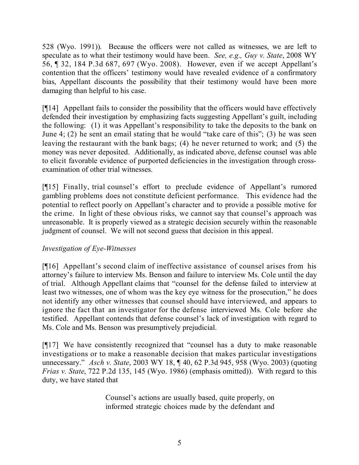528 (Wyo. 1991)). Because the officers were not called as witnesses, we are left to speculate as to what their testimony would have been. *See, e.g., Guy v. State*, 2008 WY 56, ¶ 32, 184 P.3d 687, 697 (Wyo. 2008). However, even if we accept Appellant's contention that the officers' testimony would have revealed evidence of a confirmatory bias, Appellant discounts the possibility that their testimony would have been more damaging than helpful to his case.

[¶14] Appellant fails to consider the possibility that the officers would have effectively defended their investigation by emphasizing facts suggesting Appellant's guilt, including the following: (1) it was Appellant's responsibility to take the deposits to the bank on June 4; (2) he sent an email stating that he would "take care of this"; (3) he was seen leaving the restaurant with the bank bags; (4) he never returned to work; and (5) the money was never deposited. Additionally, as indicated above, defense counsel was able to elicit favorable evidence of purported deficiencies in the investigation through crossexamination of other trial witnesses.

[¶15] Finally, trial counsel's effort to preclude evidence of Appellant's rumored gambling problems does not constitute deficient performance. This evidence had the potential to reflect poorly on Appellant's character and to provide a possible motive for the crime. In light of these obvious risks, we cannot say that counsel's approach was unreasonable. It is properly viewed as a strategic decision securely within the reasonable judgment of counsel. We will not second guess that decision in this appeal.

# *Investigation of Eye-Witnesses*

[¶16] Appellant's second claim of ineffective assistance of counsel arises from his attorney's failure to interview Ms. Benson and failure to interview Ms. Cole until the day of trial. Although Appellant claims that "counsel for the defense failed to interview at least two witnesses, one of whom was the key eye witness for the prosecution," he does not identify any other witnesses that counsel should have interviewed, and appears to ignore the fact that an investigator for the defense interviewed Ms. Cole before she testified. Appellant contends that defense counsel's lack of investigation with regard to Ms. Cole and Ms. Benson was presumptively prejudicial.

[¶17] We have consistently recognized that "counsel has a duty to make reasonable investigations or to make a reasonable decision that makes particular investigations unnecessary." *Asch v. State*, 2003 WY 18, ¶ 40, 62 P.3d 945, 958 (Wyo. 2003) (quoting *Frias v. State*, 722 P.2d 135, 145 (Wyo. 1986) (emphasis omitted)). With regard to this duty, we have stated that

> Counsel's actions are usually based, quite properly, on informed strategic choices made by the defendant and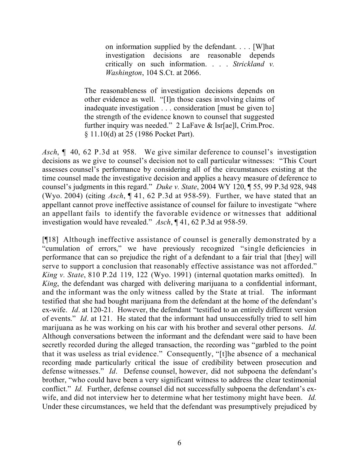on information supplied by the defendant. . . . [W]hat investigation decisions are reasonable depends critically on such information. . . . *Strickland v. Washington*, 104 S.Ct. at 2066.

The reasonableness of investigation decisions depends on other evidence as well. "[I]n those cases involving claims of inadequate investigation . . . consideration [must be given to] the strength of the evidence known to counsel that suggested further inquiry was needed." 2 LaFave & Isr[ae]l, Crim.Proc. § 11.10(d) at 25 (1986 Pocket Part).

*Asch*, ¶ 40, 62 P.3d at 958. We give similar deference to counsel's investigation decisions as we give to counsel's decision not to call particular witnesses: "This Court assesses counsel's performance by considering all of the circumstances existing at the time counsel made the investigative decision and applies a heavy measure of deference to counsel's judgments in this regard." *Duke v. State*, 2004 WY 120, ¶ 55, 99 P.3d 928, 948 (Wyo. 2004) (citing *Asch*, ¶ 41, 62 P.3d at 958-59). Further, we have stated that an appellant cannot prove ineffective assistance of counsel for failure to investigate "where an appellant fails to identify the favorable evidence or witnesses that additional investigation would have revealed." *Asch*, ¶ 41, 62 P.3d at 958-59.

[¶18] Although ineffective assistance of counsel is generally demonstrated by a "cumulation of errors," we have previously recognized "single deficiencies in performance that can so prejudice the right of a defendant to a fair trial that [they] will serve to support a conclusion that reasonably effective assistance was not afforded." *King v. State*, 810 P.2d 119, 122 (Wyo. 1991) (internal quotation marks omitted). In *King*, the defendant was charged with delivering marijuana to a confidential informant, and the informant was the only witness called by the State at trial. The informant testified that she had bought marijuana from the defendant at the home of the defendant's ex-wife. *Id*. at 120-21. However, the defendant "testified to an entirely different version of events." *Id*. at 121. He stated that the informant had unsuccessfully tried to sell him marijuana as he was working on his car with his brother and several other persons. *Id.* Although conversations between the informant and the defendant were said to have been secretly recorded during the alleged transaction, the recording was "garbled to the point that it was useless as trial evidence." Consequently, "[t]he absence of a mechanical recording made particularly critical the issue of credibility between prosecution and defense witnesses." *Id*. Defense counsel, however, did not subpoena the defendant's brother, "who could have been a very significant witness to address the clear testimonial conflict." *Id.* Further, defense counsel did not successfully subpoena the defendant's exwife, and did not interview her to determine what her testimony might have been. *Id.*  Under these circumstances, we held that the defendant was presumptively prejudiced by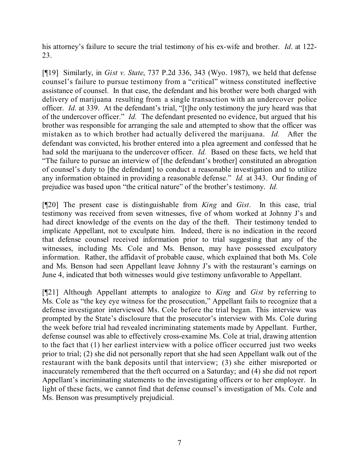his attorney's failure to secure the trial testimony of his ex-wife and brother. *Id*. at 122- 23.

[¶19] Similarly, in *Gist v. State*, 737 P.2d 336, 343 (Wyo. 1987), we held that defense counsel's failure to pursue testimony from a "critical" witness constituted ineffective assistance of counsel. In that case, the defendant and his brother were both charged with delivery of marijuana resulting from a single transaction with an undercover police officer. *Id.* at 339. At the defendant's trial, "[t]he only testimony the jury heard was that of the undercover officer." *Id.* The defendant presented no evidence, but argued that his brother was responsible for arranging the sale and attempted to show that the officer was mistaken as to which brother had actually delivered the marijuana. *Id.* After the defendant was convicted, his brother entered into a plea agreement and confessed that he had sold the marijuana to the undercover officer. *Id.* Based on these facts, we held that "The failure to pursue an interview of [the defendant's brother] constituted an abrogation of counsel's duty to [the defendant] to conduct a reasonable investigation and to utilize any information obtained in providing a reasonable defense." *Id.* at 343. Our finding of prejudice was based upon "the critical nature" of the brother's testimony. *Id.*

[¶20] The present case is distinguishable from *King* and *Gist*. In this case, trial testimony was received from seven witnesses, five of whom worked at Johnny J's and had direct knowledge of the events on the day of the theft. Their testimony tended to implicate Appellant, not to exculpate him. Indeed, there is no indication in the record that defense counsel received information prior to trial suggesting that any of the witnesses, including Ms. Cole and Ms. Benson, may have possessed exculpatory information. Rather, the affidavit of probable cause, which explained that both Ms. Cole and Ms. Benson had seen Appellant leave Johnny J's with the restaurant's earnings on June 4, indicated that both witnesses would give testimony unfavorable to Appellant.

[¶21] Although Appellant attempts to analogize to *King* and *Gist* by referring to Ms. Cole as "the key eye witness for the prosecution," Appellant fails to recognize that a defense investigator interviewed Ms. Cole before the trial began. This interview was prompted by the State's disclosure that the prosecutor's interview with Ms. Cole during the week before trial had revealed incriminating statements made by Appellant. Further, defense counsel was able to effectively cross-examine Ms. Cole at trial, drawing attention to the fact that (1) her earliest interview with a police officer occurred just two weeks prior to trial; (2) she did not personally report that she had seen Appellant walk out of the restaurant with the bank deposits until that interview; (3) she either misreported or inaccurately remembered that the theft occurred on a Saturday; and (4) she did not report Appellant's incriminating statements to the investigating officers or to her employer. In light of these facts, we cannot find that defense counsel's investigation of Ms. Cole and Ms. Benson was presumptively prejudicial.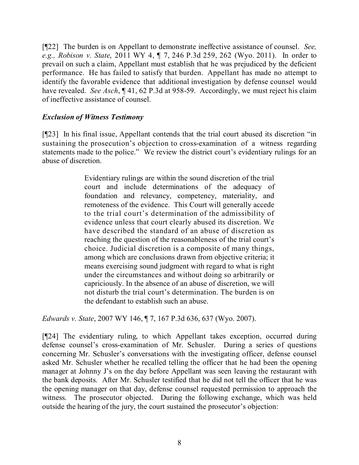[¶22] The burden is on Appellant to demonstrate ineffective assistance of counsel. *See, e.g., Robison v. State*, 2011 WY 4, ¶ 7, 246 P.3d 259, 262 (Wyo. 2011). In order to prevail on such a claim, Appellant must establish that he was prejudiced by the deficient performance. He has failed to satisfy that burden. Appellant has made no attempt to identify the favorable evidence that additional investigation by defense counsel would have revealed. *See Asch*, ¶ 41, 62 P.3d at 958-59. Accordingly, we must reject his claim of ineffective assistance of counsel.

# *Exclusion of Witness Testimony*

[¶23] In his final issue, Appellant contends that the trial court abused its discretion "in sustaining the prosecution's objection to cross-examination of a witness regarding statements made to the police." We review the district court's evidentiary rulings for an abuse of discretion.

> Evidentiary rulings are within the sound discretion of the trial court and include determinations of the adequacy of foundation and relevancy, competency, materiality, and remoteness of the evidence. This Court will generally accede to the trial court's determination of the admissibility of evidence unless that court clearly abused its discretion. We have described the standard of an abuse of discretion as reaching the question of the reasonableness of the trial court's choice. Judicial discretion is a composite of many things, among which are conclusions drawn from objective criteria; it means exercising sound judgment with regard to what is right under the circumstances and without doing so arbitrarily or capriciously. In the absence of an abuse of discretion, we will not disturb the trial court's determination. The burden is on the defendant to establish such an abuse.

*Edwards v. State*, 2007 WY 146, ¶ 7, 167 P.3d 636, 637 (Wyo. 2007).

[¶24] The evidentiary ruling, to which Appellant takes exception, occurred during defense counsel's cross-examination of Mr. Schusler. During a series of questions concerning Mr. Schusler's conversations with the investigating officer, defense counsel asked Mr. Schusler whether he recalled telling the officer that he had been the opening manager at Johnny J's on the day before Appellant was seen leaving the restaurant with the bank deposits. After Mr. Schusler testified that he did not tell the officer that he was the opening manager on that day, defense counsel requested permission to approach the witness. The prosecutor objected. During the following exchange, which was held outside the hearing of the jury, the court sustained the prosecutor's objection: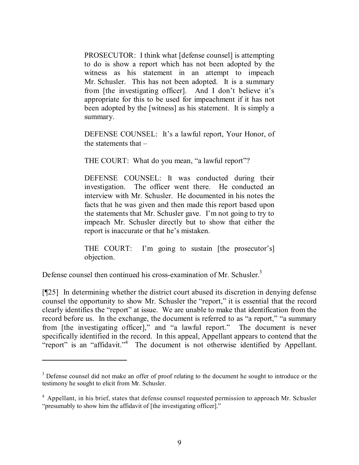PROSECUTOR: I think what [defense counsel] is attempting to do is show a report which has not been adopted by the witness as his statement in an attempt to impeach Mr. Schusler. This has not been adopted. It is a summary from [the investigating officer]. And I don't believe it's appropriate for this to be used for impeachment if it has not been adopted by the [witness] as his statement. It is simply a summary.

DEFENSE COUNSEL: It's a lawful report, Your Honor, of the statements that –

THE COURT: What do you mean, "a lawful report"?

DEFENSE COUNSEL: It was conducted during their investigation. The officer went there. He conducted an interview with Mr. Schusler. He documented in his notes the facts that he was given and then made this report based upon the statements that Mr. Schusler gave. I'm not going to try to impeach Mr. Schusler directly but to show that either the report is inaccurate or that he's mistaken.

THE COURT: I'm going to sustain [the prosecutor's] objection.

Defense counsel then continued his cross-examination of Mr. Schusler.<sup>3</sup>

[¶25] In determining whether the district court abused its discretion in denying defense counsel the opportunity to show Mr. Schusler the "report," it is essential that the record clearly identifies the "report" at issue. We are unable to make that identification from the record before us. In the exchange, the document is referred to as "a report," "a summary from [the investigating officer]," and "a lawful report." The document is never specifically identified in the record. In this appeal, Appellant appears to contend that the "report" is an "affidavit."<sup>4</sup> The document is not otherwise identified by Appellant.

<sup>&</sup>lt;sup>3</sup> Defense counsel did not make an offer of proof relating to the document he sought to introduce or the testimony he sought to elicit from Mr. Schusler.

<sup>&</sup>lt;sup>4</sup> Appellant, in his brief, states that defense counsel requested permission to approach Mr. Schusler "presumably to show him the affidavit of [the investigating officer]."